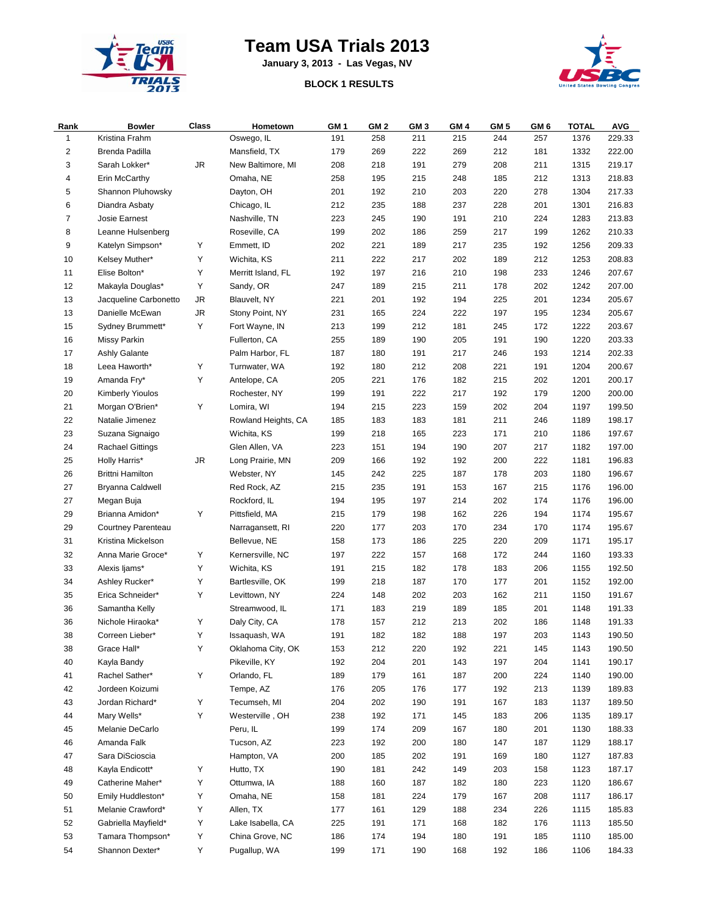

## **Team USA Trials 2013**

**January 3, 2013 - Las Vegas, NV**

## **BLOCK 1 RESULTS**



| Rank           | <b>Bowler</b>                         | Class      | Hometown            | GM <sub>1</sub> | GM 2       | GM <sub>3</sub> | GM <sub>4</sub> | GM <sub>5</sub> | GM <sub>6</sub> | <b>TOTAL</b> | <b>AVG</b>       |
|----------------|---------------------------------------|------------|---------------------|-----------------|------------|-----------------|-----------------|-----------------|-----------------|--------------|------------------|
| $\mathbf{1}$   | Kristina Frahm                        |            | Oswego, IL          | 191             | 258        | 211             | 215             | 244             | 257             | 1376         | 229.33           |
| $\overline{2}$ | Brenda Padilla                        |            | Mansfield, TX       | 179             | 269        | 222             | 269             | 212             | 181             | 1332         | 222.00           |
| 3              | Sarah Lokker*                         | ${\sf JR}$ | New Baltimore, MI   | 208             | 218        | 191             | 279             | 208             | 211             | 1315         | 219.17           |
| 4              | Erin McCarthy                         |            | Omaha, NE           | 258             | 195        | 215             | 248             | 185             | 212             | 1313         | 218.83           |
| 5              | Shannon Pluhowsky                     |            | Dayton, OH          | 201             | 192        | 210             | 203             | 220             | 278             | 1304         | 217.33           |
| 6              | Diandra Asbaty                        |            | Chicago, IL         | 212             | 235        | 188             | 237             | 228             | 201             | 1301         | 216.83           |
| 7              | Josie Earnest                         |            | Nashville, TN       | 223             | 245        | 190             | 191             | 210             | 224             | 1283         | 213.83           |
| 8              | Leanne Hulsenberg                     |            | Roseville, CA       | 199             | 202        | 186             | 259             | 217             | 199             | 1262         | 210.33           |
| 9              | Katelyn Simpson*                      | Υ          | Emmett, ID          | 202             | 221        | 189             | 217             | 235             | 192             | 1256         | 209.33           |
| 10             | Kelsey Muther*                        | Y          | Wichita, KS         | 211             | 222        | 217             | 202             | 189             | 212             | 1253         | 208.83           |
| 11             | Elise Bolton*                         | Υ          | Merritt Island, FL  | 192             | 197        | 216             | 210             | 198             | 233             | 1246         | 207.67           |
| 12             | Makayla Douglas*                      | Υ          | Sandy, OR           | 247             | 189        | 215             | 211             | 178             | 202             | 1242         | 207.00           |
| 13             | Jacqueline Carbonetto                 | JR         | Blauvelt, NY        | 221             | 201        | 192             | 194             | 225             | 201             | 1234         | 205.67           |
| 13             | Danielle McEwan                       | JR         | Stony Point, NY     | 231             | 165        | 224             | 222             | 197             | 195             | 1234         | 205.67           |
| 15             | Sydney Brummett*                      | Υ          | Fort Wayne, IN      | 213             | 199        | 212             | 181             | 245             | 172             | 1222         | 203.67           |
| 16             | <b>Missy Parkin</b>                   |            | Fullerton, CA       | 255             | 189        | 190             | 205             | 191             | 190             | 1220         | 203.33           |
| 17             | Ashly Galante                         |            | Palm Harbor, FL     | 187             | 180        | 191             | 217             | 246             | 193             | 1214         | 202.33           |
| 18             | Leea Haworth*                         | Υ          | Turnwater, WA       | 192             | 180        | 212             | 208             | 221             | 191             | 1204         | 200.67           |
| 19             | Amanda Fry*                           | Υ          | Antelope, CA        | 205             | 221        | 176             | 182             | 215             | 202             | 1201         | 200.17           |
| 20             | <b>Kimberly Yioulos</b>               |            | Rochester, NY       | 199             | 191        | 222             | 217             | 192             | 179             | 1200         | 200.00           |
| 21             | Morgan O'Brien*                       | Υ          | Lomira, WI          | 194             | 215        | 223             | 159             | 202             | 204             | 1197         | 199.50           |
| 22             | Natalie Jimenez                       |            | Rowland Heights, CA | 185             | 183        | 183             | 181             | 211             | 246             | 1189         | 198.17           |
| 23             | Suzana Signaigo                       |            | Wichita, KS         | 199             | 218        | 165             | 223             | 171             | 210             | 1186         | 197.67           |
| 24             | <b>Rachael Gittings</b>               |            | Glen Allen, VA      | 223             | 151        | 194             | 190             | 207             | 217             | 1182         | 197.00           |
| 25             | Holly Harris*                         | JR         | Long Prairie, MN    | 209             | 166        | 192             | 192             | 200             | 222             | 1181         | 196.83           |
| 26             | <b>Brittni Hamilton</b>               |            | Webster, NY         | 145             | 242        | 225             | 187             | 178             | 203             | 1180         | 196.67           |
| 27             |                                       |            | Red Rock, AZ        | 215             | 235        | 191             | 153             | 167             | 215             | 1176         |                  |
| 27             | Bryanna Caldwell                      |            | Rockford, IL        |                 |            |                 |                 | 202             | 174             |              | 196.00<br>196.00 |
| 29             | Megan Buja                            | Υ          | Pittsfield, MA      | 194<br>215      | 195<br>179 | 197<br>198      | 214<br>162      | 226             | 194             | 1176<br>1174 | 195.67           |
| 29             | Brianna Amidon*<br>Courtney Parenteau |            |                     | 220             |            | 203             |                 | 234             | 170             |              |                  |
|                |                                       |            | Narragansett, RI    |                 | 177        |                 | 170             |                 |                 | 1174         | 195.67           |
| 31             | Kristina Mickelson                    |            | Bellevue, NE        | 158             | 173        | 186             | 225             | 220             | 209             | 1171         | 195.17           |
| 32             | Anna Marie Groce*                     | Υ          | Kernersville, NC    | 197             | 222        | 157             | 168             | 172             | 244             | 1160         | 193.33           |
| 33             | Alexis ljams*                         | Υ          | Wichita, KS         | 191             | 215        | 182             | 178             | 183             | 206             | 1155         | 192.50           |
| 34             | Ashley Rucker*                        | Υ          | Bartlesville, OK    | 199             | 218        | 187             | 170             | 177             | 201             | 1152         | 192.00           |
| 35             | Erica Schneider*                      | Υ          | Levittown, NY       | 224             | 148        | 202             | 203             | 162             | 211             | 1150         | 191.67           |
| 36             | Samantha Kelly                        |            | Streamwood, IL      | 171             | 183        | 219             | 189             | 185             | 201             | 1148         | 191.33           |
| 36             | Nichole Hiraoka*                      | Υ          | Daly City, CA       | 178             | 157        | 212             | 213             | 202             | 186             | 1148         | 191.33           |
| 38             | Correen Lieber*                       | Υ          | Issaquash, WA       | 191             | 182        | 182             | 188             | 197             | 203             | 1143         | 190.50           |
| 38             | Grace Hall*                           | Υ          | Oklahoma City, OK   | 153             | 212        | 220             | 192             | 221             | 145             | 1143         | 190.50           |
| 40             | Kayla Bandy                           |            | Pikeville, KY       | 192             | 204        | 201             | 143             | 197             | 204             | 1141         | 190.17           |
| 41             | Rachel Sather*                        | Υ          | Orlando, FL         | 189             | 179        | 161             | 187             | 200             | 224             | 1140         | 190.00           |
| 42             | Jordeen Koizumi                       |            | Tempe, AZ           | 176             | 205        | 176             | 177             | 192             | 213             | 1139         | 189.83           |
| 43             | Jordan Richard*                       | Y          | Tecumseh, MI        | 204             | 202        | 190             | 191             | 167             | 183             | 1137         | 189.50           |
| 44             | Mary Wells*                           | Υ          | Westerville, OH     | 238             | 192        | 171             | 145             | 183             | 206             | 1135         | 189.17           |
| 45             | Melanie DeCarlo                       |            | Peru, IL            | 199             | 174        | 209             | 167             | 180             | 201             | 1130         | 188.33           |
| 46             | Amanda Falk                           |            | Tucson, AZ          | 223             | 192        | 200             | 180             | 147             | 187             | 1129         | 188.17           |
| 47             | Sara DiScioscia                       |            | Hampton, VA         | 200             | 185        | 202             | 191             | 169             | 180             | 1127         | 187.83           |
| 48             | Kayla Endicott*                       | Υ          | Hutto, TX           | 190             | 181        | 242             | 149             | 203             | 158             | 1123         | 187.17           |
| 49             | Catherine Maher*                      | Υ          | Ottumwa, IA         | 188             | 160        | 187             | 182             | 180             | 223             | 1120         | 186.67           |
| 50             | Emily Huddleston*                     | Υ          | Omaha, NE           | 158             | 181        | 224             | 179             | 167             | 208             | 1117         | 186.17           |
| 51             | Melanie Crawford*                     | Υ          | Allen, TX           | 177             | 161        | 129             | 188             | 234             | 226             | 1115         | 185.83           |
| 52             | Gabriella Mayfield*                   | Υ          | Lake Isabella, CA   | 225             | 191        | 171             | 168             | 182             | 176             | 1113         | 185.50           |
| 53             | Tamara Thompson*                      | Υ          | China Grove, NC     | 186             | 174        | 194             | 180             | 191             | 185             | 1110         | 185.00           |
| 54             | Shannon Dexter*                       | Υ          | Pugallup, WA        | 199             | 171        | 190             | 168             | 192             | 186             | 1106         | 184.33           |